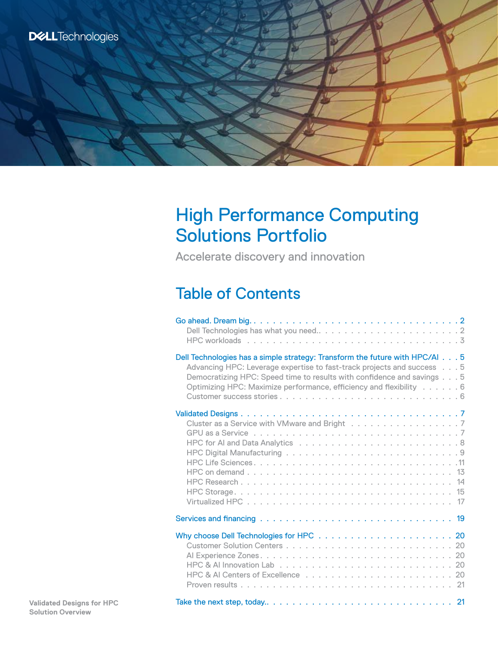# High Performance Computing Solutions Portfolio

Accelerate discovery and innovation

# Table of Contents

| Dell Technologies has a simple strategy: Transform the future with HPC/AI 5<br>Advancing HPC: Leverage expertise to fast-track projects and success 5<br>Democratizing HPC: Speed time to results with confidence and savings 5<br>Optimizing HPC: Maximize performance, efficiency and flexibility 6 |
|-------------------------------------------------------------------------------------------------------------------------------------------------------------------------------------------------------------------------------------------------------------------------------------------------------|
| Cluster as a Service with VMware and Bright 7                                                                                                                                                                                                                                                         |
|                                                                                                                                                                                                                                                                                                       |
|                                                                                                                                                                                                                                                                                                       |
|                                                                                                                                                                                                                                                                                                       |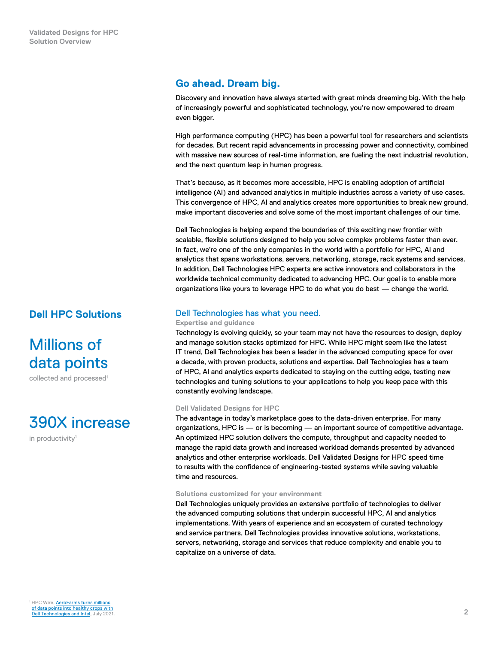# <span id="page-1-0"></span>**Go ahead. Dream big.**

Discovery and innovation have always started with great minds dreaming big. With the help of increasingly powerful and sophisticated technology, you're now empowered to dream even bigger.

High performance computing (HPC) has been a powerful tool for researchers and scientists for decades. But recent rapid advancements in processing power and connectivity, combined with massive new sources of real-time information, are fueling the next industrial revolution, and the next quantum leap in human progress.

That's because, as it becomes more accessible, HPC is enabling adoption of artificial intelligence (AI) and advanced analytics in multiple industries across a variety of use cases. This convergence of HPC, AI and analytics creates more opportunities to break new ground, make important discoveries and solve some of the most important challenges of our time.

Dell Technologies is helping expand the boundaries of this exciting new frontier with scalable, flexible solutions designed to help you solve complex problems faster than ever. In fact, we're one of the only companies in the world with a portfolio for HPC, AI and analytics that spans workstations, servers, networking, storage, rack systems and services. In addition, Dell Technologies HPC experts are active innovators and collaborators in the worldwide technical community dedicated to advancing HPC. Our goal is to enable more organizations like yours to leverage HPC to do what you do best — change the world.

# **Dell HPC Solutions**

Millions of data points

collected and processed<sup>1</sup>

390X increase

in productivity<sup>1</sup>

# Dell Technologies has what you need.

#### **Expertise and guidance**

Technology is evolving quickly, so your team may not have the resources to design, deploy and manage solution stacks optimized for HPC. While HPC might seem like the latest IT trend, Dell Technologies has been a leader in the advanced computing space for over a decade, with proven products, solutions and expertise. Dell Technologies has a team of HPC, AI and analytics experts dedicated to staying on the cutting edge, testing new technologies and tuning solutions to your applications to help you keep pace with this constantly evolving landscape.

## **Dell Validated Designs for HPC**

The advantage in today's marketplace goes to the data‑driven enterprise. For many organizations, HPC is — or is becoming — an important source of competitive advantage. An optimized HPC solution delivers the compute, throughput and capacity needed to manage the rapid data growth and increased workload demands presented by advanced analytics and other enterprise workloads. Dell Validated Designs for HPC speed time to results with the confidence of engineering-tested systems while saving valuable time and resources.

#### **Solutions customized for your environment**

Dell Technologies uniquely provides an extensive portfolio of technologies to deliver the advanced computing solutions that underpin successful HPC, AI and analytics implementations. With years of experience and an ecosystem of curated technology and service partners, Dell Technologies provides innovative solutions, workstations, servers, networking, storage and services that reduce complexity and enable you to capitalize on a universe of data.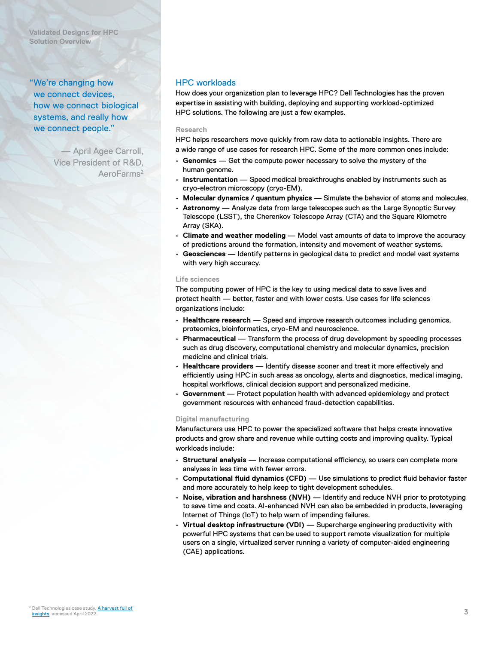<span id="page-2-0"></span>**Validated Designs for HPC Solution Overview**

"We're changing how we connect devices, how we connect biological systems, and really how we connect people."

> — April Agee Carroll, Vice President of R&D, AeroFarms<sup>2</sup>

# HPC workloads

How does your organization plan to leverage HPC? Dell Technologies has the proven expertise in assisting with building, deploying and supporting workload-optimized HPC solutions. The following are just a few examples.

#### **Research**

HPC helps researchers move quickly from raw data to actionable insights. There are a wide range of use cases for research HPC. Some of the more common ones include:

- **Genomics** Get the compute power necessary to solve the mystery of the human genome.
- **Instrumentation** Speed medical breakthroughs enabled by instruments such as cryo-electron microscopy (cryo-EM).
- **Molecular dynamics / quantum physics** Simulate the behavior of atoms and molecules.
- **Astronomy** Analyze data from large telescopes such as the Large Synoptic Survey Telescope (LSST), the Cherenkov Telescope Array (CTA) and the Square Kilometre Array (SKA).
- **Climate and weather modeling** Model vast amounts of data to improve the accuracy of predictions around the formation, intensity and movement of weather systems.
- **Geosciences** Identify patterns in geological data to predict and model vast systems with very high accuracy.

#### **Life sciences**

The computing power of HPC is the key to using medical data to save lives and protect health — better, faster and with lower costs. Use cases for life sciences organizations include:

- **Healthcare research** Speed and improve research outcomes including genomics, proteomics, bioinformatics, cryo-EM and neuroscience.
- **Pharmaceutical** Transform the process of drug development by speeding processes such as drug discovery, computational chemistry and molecular dynamics, precision medicine and clinical trials.
- **Healthcare providers** Identify disease sooner and treat it more effectively and efficiently using HPC in such areas as oncology, alerts and diagnostics, medical imaging, hospital workflows, clinical decision support and personalized medicine.
- **Government** Protect population health with advanced epidemiology and protect government resources with enhanced fraud‑detection capabilities.

## **Digital manufacturing**

Manufacturers use HPC to power the specialized software that helps create innovative products and grow share and revenue while cutting costs and improving quality. Typical workloads include:

- **Structural analysis** Increase computational efficiency, so users can complete more analyses in less time with fewer errors.
- **Computational fluid dynamics (CFD)** Use simulations to predict fluid behavior faster and more accurately to help keep to tight development schedules.
- **Noise, vibration and harshness (NVH)** Identify and reduce NVH prior to prototyping to save time and costs. Al-enhanced NVH can also be embedded in products, leveraging Internet of Things (IoT) to help warn of impending failures.
- **Virtual desktop infrastructure (VDI)** Supercharge engineering productivity with powerful HPC systems that can be used to support remote visualization for multiple users on a single, virtualized server running a variety of computer-aided engineering (CAE) applications.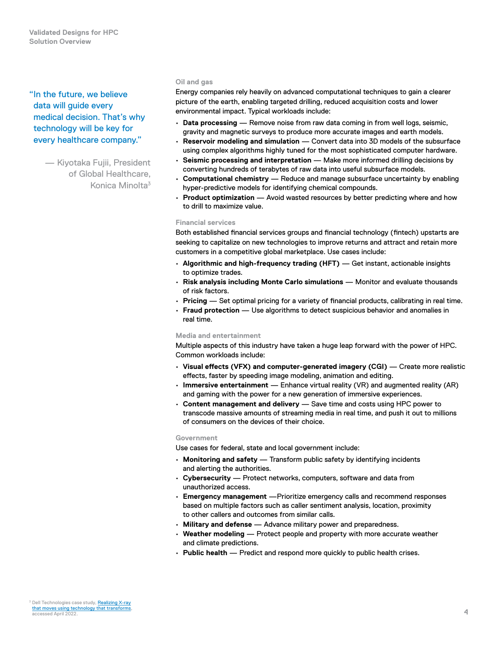"In the future, we believe data will guide every medical decision. That's why technology will be key for every healthcare company."

> — Kiyotaka Fujii, President of Global Healthcare, Konica Minolta3

#### **Oil and gas**

Energy companies rely heavily on advanced computational techniques to gain a clearer picture of the earth, enabling targeted drilling, reduced acquisition costs and lower environmental impact. Typical workloads include:

- **Data processing** Remove noise from raw data coming in from well logs, seismic, gravity and magnetic surveys to produce more accurate images and earth models.
- **Reservoir modeling and simulation** Convert data into 3D models of the subsurface using complex algorithms highly tuned for the most sophisticated computer hardware.
- **Seismic processing and interpretation** Make more informed drilling decisions by converting hundreds of terabytes of raw data into useful subsurface models.
- **Computational chemistry** Reduce and manage subsurface uncertainty by enabling hyper-predictive models for identifying chemical compounds.
- **Product optimization** Avoid wasted resources by better predicting where and how to drill to maximize value.

#### **Financial services**

Both established financial services groups and financial technology (fintech) upstarts are seeking to capitalize on new technologies to improve returns and attract and retain more customers in a competitive global marketplace. Use cases include:

- **Algorithmic and high-frequency trading (HFT)** Get instant, actionable insights to optimize trades.
- **Risk analysis including Monte Carlo simulations** Monitor and evaluate thousands of risk factors.
- **Pricing** Set optimal pricing for a variety of financial products, calibrating in real time.
- **Fraud protection** Use algorithms to detect suspicious behavior and anomalies in real time.

## **Media and entertainment**

Multiple aspects of this industry have taken a huge leap forward with the power of HPC. Common workloads include:

- **Visual effects (VFX) and computer‑generated imagery (CGI)** Create more realistic effects, faster by speeding image modeling, animation and editing.
- **Immersive entertainment** Enhance virtual reality (VR) and augmented reality (AR) and gaming with the power for a new generation of immersive experiences.
- **Content management and delivery** Save time and costs using HPC power to transcode massive amounts of streaming media in real time, and push it out to millions of consumers on the devices of their choice.

#### **Government**

Use cases for federal, state and local government include:

- **Monitoring and safety** Transform public safety by identifying incidents and alerting the authorities.
- **Cybersecurity** Protect networks, computers, software and data from unauthorized access.
- **Emergency management** —Prioritize emergency calls and recommend responses based on multiple factors such as caller sentiment analysis, location, proximity to other callers and outcomes from similar calls.
- **Military and defense** Advance military power and preparedness.
- **Weather modeling** Protect people and property with more accurate weather and climate predictions.
- **Public health** Predict and respond more quickly to public health crises.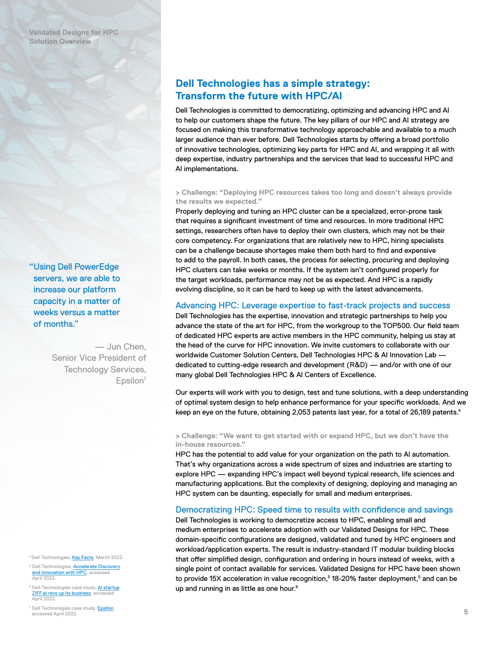"Using Dell PowerEdge servers, we are able to increase our platform capacity in a matter of weeks versus a matter of months."

> — Jun Chen, Senior Vice President of Technology Services,  $Epsilon<sup>7</sup>$

<sup>4</sup> Dell Technologies, [Key Facts,](https://www.dellemc.com/en-us/collaterals/unauth/offering-overview-documents/solutions/key_facts_about_dell_technologies.pdf) March 2022.

<sup>5</sup> Dell Technologies, <u>Accelerate Discovery</u><br>En<u>novation with HPC,</u> accessed<br>April 2022.

<sup>6</sup> Dell Technologies case study, Al startup [ZIFF.ai revs up its business,](http://www.delltechnologies.com/en-us/video-collateral/demos/microsites/mediaplayer-video/2018/ai-startup-ziff-ai-revs-up-its-business-with-dell-emc.htm#) access April 2022

<sup>7</sup> Dell Technologies case study, <mark>Epsilon</mark>, accessed April 2022.

# <span id="page-4-0"></span>**Dell Technologies has a simple strategy: Transform the future with HPC/AI**

Dell Technologies is committed to democratizing, optimizing and advancing HPC and AI to help our customers shape the future. The key pillars of our HPC and AI strategy are focused on making this transformative technology approachable and available to a much larger audience than ever before. Dell Technologies starts by offering a broad portfolio of innovative technologies, optimizing key parts for HPC and AI, and wrapping it all with deep expertise, industry partnerships and the services that lead to successful HPC and AI implementations.

## **> Challenge: "Deploying HPC resources takes too long and doesn't always provide the results we expected."**

Properly deploying and tuning an HPC cluster can be a specialized, error-prone task that requires a significant investment of time and resources. In more traditional HPC settings, researchers often have to deploy their own clusters, which may not be their core competency. For organizations that are relatively new to HPC, hiring specialists can be a challenge because shortages make them both hard to find and expensive to add to the payroll. In both cases, the process for selecting, procuring and deploying HPC clusters can take weeks or months. If the system isn't configured properly for the target workloads, performance may not be as expected. And HPC is a rapidly evolving discipline, so it can be hard to keep up with the latest advancements.

# Advancing HPC: Leverage expertise to fast-track projects and success

Dell Technologies has the expertise, innovation and strategic partnerships to help you advance the state of the art for HPC, from the workgroup to the TOP500. Our field team of dedicated HPC experts are active members in the HPC community, helping us stay at the head of the curve for HPC innovation. We invite customers to collaborate with our worldwide Customer Solution Centers, Dell Technologies HPC & AI Innovation Lab dedicated to cutting‑edge research and development (R&D) — and/or with one of our many global Dell Technologies HPC & AI Centers of Excellence.

Our experts will work with you to design, test and tune solutions, with a deep understanding of optimal system design to help enhance performance for your specific workloads. And we keep an eye on the future, obtaining 2,053 patents last year, for a total of 26,189 patents.<sup>4</sup>

**> Challenge: "We want to get started with or expand HPC, but we don't have the in‑house resources."**

HPC has the potential to add value for your organization on the path to AI automation. That's why organizations across a wide spectrum of sizes and industries are starting to explore HPC — expanding HPC's impact well beyond typical research, life sciences and manufacturing applications. But the complexity of designing, deploying and managing an HPC system can be daunting, especially for small and medium enterprises.

# Democratizing HPC: Speed time to results with confidence and savings

Dell Technologies is working to democratize access to HPC, enabling small and medium enterprises to accelerate adoption with our Validated Designs for HPC. These domain‑specific configurations are designed, validated and tuned by HPC engineers and workload/application experts. The result is industry-standard IT modular building blocks that offer simplified design, configuration and ordering in hours instead of weeks, with a single point of contact available for services. Validated Designs for HPC have been shown to provide 15X acceleration in value recognition, $5$  18-20% faster deployment, $5$  and can be up and running in as little as one hour.<sup>6</sup>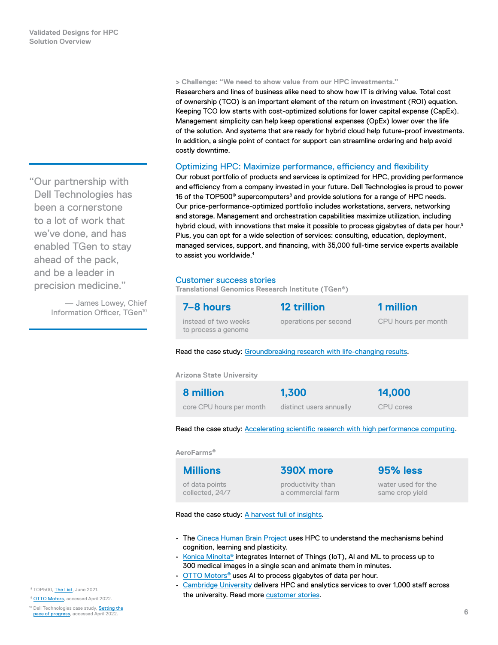#### **> Challenge: "We need to show value from our HPC investments."**

Researchers and lines of business alike need to show how IT is driving value. Total cost of ownership (TCO) is an important element of the return on investment (ROI) equation. Keeping TCO low starts with cost-optimized solutions for lower capital expense (CapEx). Management simplicity can help keep operational expenses (OpEx) lower over the life of the solution. And systems that are ready for hybrid cloud help future‑proof investments. In addition, a single point of contact for support can streamline ordering and help avoid costly downtime.

## Optimizing HPC: Maximize performance, efficiency and flexibility

Our robust portfolio of products and services is optimized for HPC, providing performance and efficiency from a company invested in your future. Dell Technologies is proud to power 16 of the TOP500® supercomputers $^8$  and provide solutions for a range of HPC needs. Our price‑performance‑optimized portfolio includes workstations, servers, networking and storage. Management and orchestration capabilities maximize utilization, including hybrid cloud, with innovations that make it possible to process gigabytes of data per hour.<sup>9</sup> Plus, you can opt for a wide selection of services: consulting, education, deployment, managed services, support, and financing, with 35,000 full-time service experts available to assist you worldwide.4

## Customer success stories

**Translational Genomics Research Institute (TGen®)**

| 7-8 hours                                   | <b>12 trillion</b>    | 1 million           |
|---------------------------------------------|-----------------------|---------------------|
| instead of two weeks<br>to process a genome | operations per second | CPU hours per month |

Read the case study: Groundbreaking research with life-changing results.

**Arizona State University**

| 8 million                | 1,300                   | 14,000    |
|--------------------------|-------------------------|-----------|
| core CPU hours per month | distinct users annually | CPU cores |

Read the case study: [Accelerating scientific research with high performance computing](http://www.delltechnologies.com/asset/en-us/products/ready-solutions/customer-stories-case-studies/dell-asu-case-study.pdf).

**AeroFarms®**

| <b>Millions</b> | 390X more         | 95% less           |
|-----------------|-------------------|--------------------|
| of data points  | productivity than | water used for the |
| collected, 24/7 | a commercial farm | same crop yield    |

Read the case study: [A harvest full of insights.](https://www.delltechnologies.com/en-us/customer-stories/aerofarms.htm)

- The [Cineca Human Brain Project](https://www.delltechnologies.com/asset/en-us/products/ready-solutions/customer-stories-case-studies/dell-cineca-case-study.pdf) uses HPC to understand the mechanisms behind cognition, learning and plasticity.
- [Konica Minolta®](https://www.delltechnologies.com/en-us/case-studies-customer-stories/konica-minolta-oem.htm#scroll=off&collapse) integrates Internet of Things (IoT), AI and ML to process up to 300 medical images in a single scan and animate them in minutes.
- OTTO Motors<sup>®</sup> uses AI to process gigabytes of data per hour.
- [Cambridge University](https://www.delltechnologies.com/en-us/solutions/high-performance-computing/index.htm#scroll=off&video-overlay=6005312693001) delivers HPC and analytics services to over 1,000 staff across the university. Read more [customer stories.](https://dell.com/customerstories)

<span id="page-5-0"></span>"Our partnership with Dell Technologies has been a cornerstone to a lot of work that we've done, and has enabled TGen to stay ahead of the pack, and be a leader in precision medicine."

> — James Lowey, Chief Information Officer, TGen<sup>10</sup>

8 TOP500, [The List](https://www.top500.org/lists/top500/2021/06/), June 2021.

<sup>9</sup> [OTTO Motors,](https://www.youtube.com/watch?v=1lyuhBJf6Gw) accessed April 2022.

<sup>10</sup> Dell Technologies case study, **Setting the** [pace of progress](https://www.delltechnologies.com/en-us/case-studies-customer-stories/tgen.htm#collapse), accessed April 2022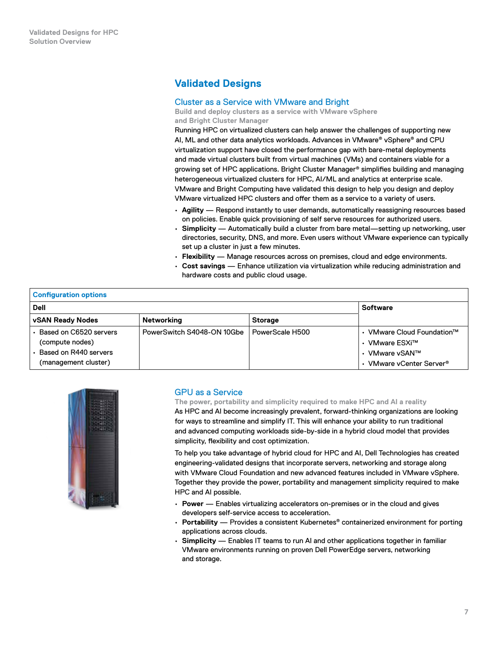# <span id="page-6-0"></span>**Validated Designs**

# Cluster as a Service with VMware and Bright

**Build and deploy clusters as a service with VMware vSphere and Bright Cluster Manager**

Running HPC on virtualized clusters can help answer the challenges of supporting new AI, ML and other data analytics workloads. Advances in VMware® vSphere® and CPU virtualization support have closed the performance gap with bare‑metal deployments and made virtual clusters built from virtual machines (VMs) and containers viable for a growing set of HPC applications. Bright Cluster Manager® simplifies building and managing heterogeneous virtualized clusters for HPC, AI/ML and analytics at enterprise scale. VMware and Bright Computing have validated this design to help you design and deploy VMware virtualized HPC clusters and offer them as a service to a variety of users.

- **Agility** Respond instantly to user demands, automatically reassigning resources based on policies. Enable quick provisioning of self serve resources for authorized users.
- **Simplicity** Automatically build a cluster from bare metal—setting up networking, user directories, security, DNS, and more. Even users without VMware experience can typically set up a cluster in just a few minutes.
- **Flexibility** Manage resources across on premises, cloud and edge environments.
- **Cost savings** Enhance utilization via virtualization while reducing administration and hardware costs and public cloud usage.

| <b>Configuration options</b>                  |                            |                 |                                              |  |  |  |  |
|-----------------------------------------------|----------------------------|-----------------|----------------------------------------------|--|--|--|--|
| <b>Dell</b>                                   | <b>Software</b>            |                 |                                              |  |  |  |  |
| <b>vSAN Ready Nodes</b>                       | Networking                 | <b>Storage</b>  |                                              |  |  |  |  |
| • Based on C6520 servers<br>(compute nodes)   | PowerSwitch S4048-ON 10Gbe | PowerScale H500 | • VMware Cloud Foundation™<br>• VMware ESXi™ |  |  |  |  |
| Based on R440 servers<br>(management cluster) |                            |                 | • VMware vSAN™<br>• VMware vCenter Server®   |  |  |  |  |

simplicity, flexibility and cost optimization.



# GPU as a Service

**The power, portability and simplicity required to make HPC and AI a reality** As HPC and AI become increasingly prevalent, forward-thinking organizations are looking for ways to streamline and simplify IT. This will enhance your ability to run traditional and advanced computing workloads side‑by‑side in a hybrid cloud model that provides

To help you take advantage of hybrid cloud for HPC and AI, Dell Technologies has created engineering‑validated designs that incorporate servers, networking and storage along with VMware Cloud Foundation and new advanced features included in VMware vSphere. Together they provide the power, portability and management simplicity required to make HPC and AI possible.

- **Power** Enables virtualizing accelerators on‑premises or in the cloud and gives developers self‑service access to acceleration.
- **Portability** Provides a consistent Kubernetes® containerized environment for porting applications across clouds.
- **Simplicity** Enables IT teams to run AI and other applications together in familiar VMware environments running on proven Dell PowerEdge servers, networking and storage.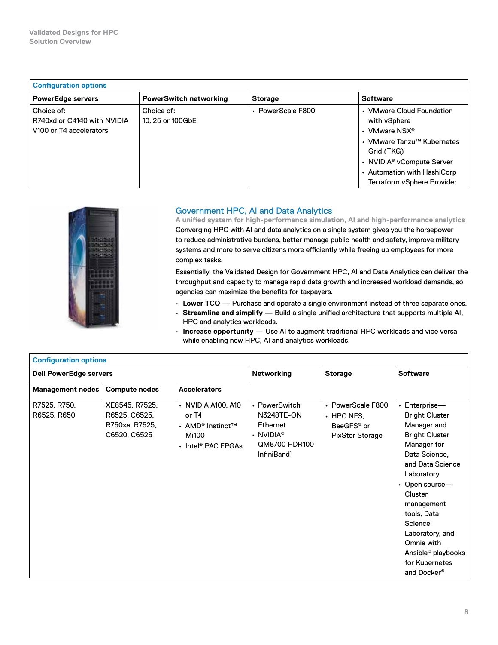<span id="page-7-0"></span>

| <b>Configuration options</b>                                         |                                |                   |                                                                                                                                                                                                                          |  |  |  |
|----------------------------------------------------------------------|--------------------------------|-------------------|--------------------------------------------------------------------------------------------------------------------------------------------------------------------------------------------------------------------------|--|--|--|
| <b>PowerEdge servers</b>                                             | <b>PowerSwitch networking</b>  | <b>Storage</b>    | <b>Software</b>                                                                                                                                                                                                          |  |  |  |
| Choice of:<br>R740xd or C4140 with NVIDIA<br>V100 or T4 accelerators | Choice of:<br>10, 25 or 100GbE | • PowerScale F800 | • VMware Cloud Foundation<br>with vSphere<br>• VMware NSX <sup>®</sup><br>• VMware Tanzu™ Kubernetes<br>Grid (TKG)<br>• NVIDIA <sup>®</sup> vCompute Server<br>• Automation with HashiCorp<br>Terraform vSphere Provider |  |  |  |



# Government HPC, AI and Data Analytics

**A unified system for high‑performance simulation, AI and high‑performance analytics** Converging HPC with AI and data analytics on a single system gives you the horsepower to reduce administrative burdens, better manage public health and safety, improve military systems and more to serve citizens more efficiently while freeing up employees for more complex tasks.

Essentially, the Validated Design for Government HPC, AI and Data Analytics can deliver the throughput and capacity to manage rapid data growth and increased workload demands, so agencies can maximize the benefits for taxpayers.

- **Lower TCO** Purchase and operate a single environment instead of three separate ones.
- **Streamline and simplify** Build a single unified architecture that supports multiple AI, HPC and analytics workloads.
- **Increase opportunity** Use AI to augment traditional HPC workloads and vice versa while enabling new HPC, AI and analytics workloads.

| <b>Configuration options</b>  |                                                                   |                                                                                                  |                                                                                                                                  |                                                                               |                                                                                                                                                                                                                                                                                                                                                   |
|-------------------------------|-------------------------------------------------------------------|--------------------------------------------------------------------------------------------------|----------------------------------------------------------------------------------------------------------------------------------|-------------------------------------------------------------------------------|---------------------------------------------------------------------------------------------------------------------------------------------------------------------------------------------------------------------------------------------------------------------------------------------------------------------------------------------------|
| <b>Dell PowerEdge servers</b> |                                                                   | <b>Networking</b>                                                                                | <b>Storage</b>                                                                                                                   | <b>Software</b>                                                               |                                                                                                                                                                                                                                                                                                                                                   |
| <b>Management nodes</b>       | <b>Compute nodes</b>                                              | <b>Accelerators</b>                                                                              |                                                                                                                                  |                                                                               |                                                                                                                                                                                                                                                                                                                                                   |
| R7525, R750,<br>R6525, R650   | XE8545, R7525,<br>R6525, C6525,<br>R750xa, R7525,<br>C6520, C6525 | • NVIDIA A100, A10<br>or T4<br>• AMD <sup>®</sup> Instinct™<br>Mi100<br>$\cdot$ Intel® PAC FPGAs | • PowerSwitch<br><b>N3248TE-ON</b><br>Ethernet<br>$\cdot$ NVIDIA <sup>®</sup><br><b>QM8700 HDR100</b><br>InfiniBand <sup>®</sup> | • PowerScale F800<br>$\cdot$ HPC NFS.<br>BeeGFS® or<br><b>PixStor Storage</b> | $\cdot$ Enterprise-<br><b>Bright Cluster</b><br>Manager and<br><b>Bright Cluster</b><br>Manager for<br>Data Science,<br>and Data Science<br>Laboratory<br>$\cdot$ Open source-<br>Cluster<br>management<br>tools, Data<br>Science<br>Laboratory, and<br>Omnia with<br>Ansible <sup>®</sup> playbooks<br>for Kubernetes<br>and Docker <sup>®</sup> |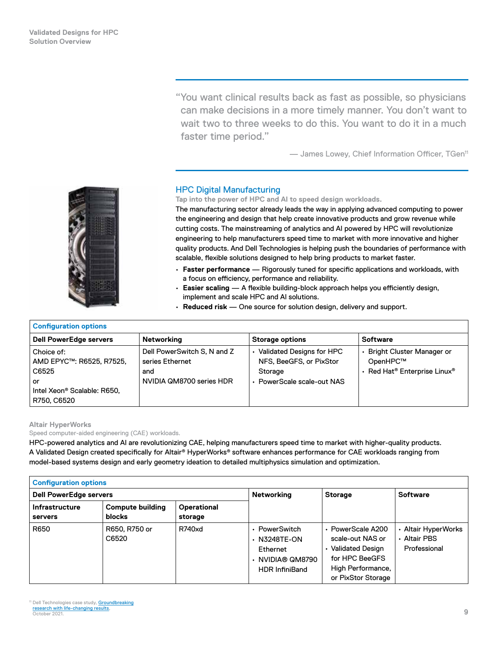"You want clinical results back as fast as possible, so physicians can make decisions in a more timely manner. You don't want to wait two to three weeks to do this. You want to do it in a much faster time period."

— James Lowey, Chief Information Officer, TGen11

<span id="page-8-0"></span>

# HPC Digital Manufacturing

**Tap into the power of HPC and AI to speed design workloads.**

The manufacturing sector already leads the way in applying advanced computing to power the engineering and design that help create innovative products and grow revenue while cutting costs. The mainstreaming of analytics and AI powered by HPC will revolutionize engineering to help manufacturers speed time to market with more innovative and higher quality products. And Dell Technologies is helping push the boundaries of performance with scalable, flexible solutions designed to help bring products to market faster.

- **Faster performance** Rigorously tuned for specific applications and workloads, with a focus on efficiency, performance and reliability.
- **Easier scaling** A flexible building-block approach helps you efficiently design, implement and scale HPC and AI solutions.
- **Reduced risk** One source for solution design, delivery and support.

| <b>Configuration options</b>                                                                                    |                                                                                   |                                                                                                 |                                                                                                      |  |  |  |  |
|-----------------------------------------------------------------------------------------------------------------|-----------------------------------------------------------------------------------|-------------------------------------------------------------------------------------------------|------------------------------------------------------------------------------------------------------|--|--|--|--|
| Dell PowerEdge servers                                                                                          | Networking                                                                        | <b>Storage options</b>                                                                          | <b>Software</b>                                                                                      |  |  |  |  |
| Choice of:<br>AMD EPYC™: R6525, R7525,<br>C6525<br>or<br>Intel Xeon <sup>®</sup> Scalable: R650,<br>R750, C6520 | Dell PowerSwitch S, N and Z<br>series Ethernet<br>and<br>NVIDIA QM8700 series HDR | • Validated Designs for HPC<br>NFS, BeeGFS, or PixStor<br>Storage<br>• PowerScale scale-out NAS | <b>Bright Cluster Manager or</b><br>OpenHPC™<br>• Red Hat <sup>®</sup> Enterprise Linux <sup>®</sup> |  |  |  |  |

## **Altair HyperWorks**

Speed computer-aided engineering (CAE) workloads.

HPC-powered analytics and AI are revolutionizing CAE, helping manufacturers speed time to market with higher-quality products. A Validated Design created specifically for Altair® HyperWorks® software enhances performance for CAE workloads ranging from model-based systems design and early geometry ideation to detailed multiphysics simulation and optimization.

| <b>Configuration options</b>     |                                          |                        |                                                                                              |                                                                                                                        |                                                     |
|----------------------------------|------------------------------------------|------------------------|----------------------------------------------------------------------------------------------|------------------------------------------------------------------------------------------------------------------------|-----------------------------------------------------|
| <b>Dell PowerEdge servers</b>    |                                          | Networking             | <b>Storage</b>                                                                               | <b>Software</b>                                                                                                        |                                                     |
| <b>Infrastructure</b><br>servers | <b>Compute building</b><br><b>blocks</b> | Operational<br>storage |                                                                                              |                                                                                                                        |                                                     |
| R650                             | R650, R750 or<br>C6520                   | R740xd                 | • PowerSwitch<br>$\cdot$ N3248TE-ON<br>Ethernet<br>· NVIDIA® QM8790<br><b>HDR InfiniBand</b> | • PowerScale A200<br>scale-out NAS or<br>Validated Design<br>for HPC BeeGFS<br>High Performance,<br>or PixStor Storage | • Altair HyperWorks<br>· Altair PBS<br>Professional |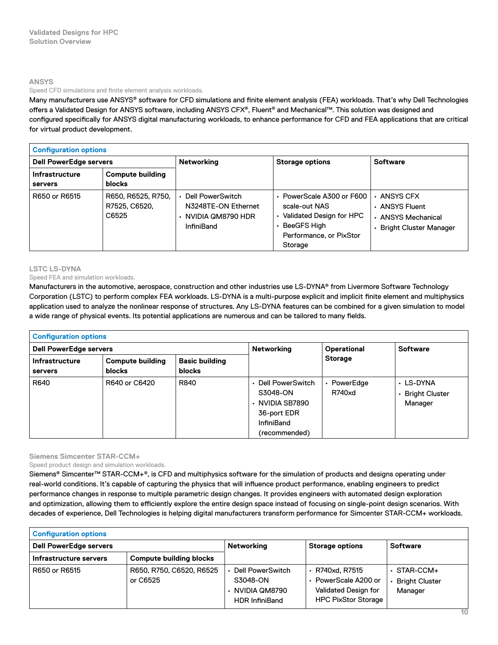#### **ANSYS**

#### Speed CFD simulations and finite element analysis workloads.

Many manufacturers use ANSYS® software for CFD simulations and finite element analysis (FEA) workloads. That's why Dell Technologies offers a Validated Design for ANSYS software, including ANSYS CFX®, Fluent® and Mechanical™. This solution was designed and configured specifically for ANSYS digital manufacturing workloads, to enhance performance for CFD and FEA applications that are critical for virtual product development.

| <b>Configuration options</b>     |                                              |                                                                                           |                                                                                                                                |                                                                                       |  |  |
|----------------------------------|----------------------------------------------|-------------------------------------------------------------------------------------------|--------------------------------------------------------------------------------------------------------------------------------|---------------------------------------------------------------------------------------|--|--|
| <b>Dell PowerEdge servers</b>    |                                              | <b>Networking</b>                                                                         | <b>Storage options</b>                                                                                                         | <b>Software</b>                                                                       |  |  |
| <b>Infrastructure</b><br>servers | <b>Compute building</b><br><b>blocks</b>     |                                                                                           |                                                                                                                                |                                                                                       |  |  |
| R650 or R6515                    | R650, R6525, R750,<br>R7525, C6520,<br>C6525 | Dell PowerSwitch<br>N3248TE-ON Ethernet<br>$\cdot$ NVIDIA QM8790 HDR<br><b>InfiniBand</b> | PowerScale A300 or F600<br>scale-out NAS<br>Validated Design for HPC<br>۰<br>BeeGFS High<br>Performance, or PixStor<br>Storage | $\cdot$ ANSYS CFX<br>• ANSYS Fluent<br>• ANSYS Mechanical<br>• Bright Cluster Manager |  |  |

## **LSTC LS‑DYNA**

## Speed FEA and simulation workloads.

Manufacturers in the automotive, aerospace, construction and other industries use LS‑DYNA® from Livermore Software Technology Corporation (LSTC) to perform complex FEA workloads. LS‑DYNA is a multi‑purpose explicit and implicit finite element and multiphysics application used to analyze the nonlinear response of structures. Any LS‑DYNA features can be combined for a given simulation to model a wide range of physical events. Its potential applications are numerous and can be tailored to many fields.

| <b>Configuration options</b>  |                                                  |                   |                                                                                                              |                              |                                          |  |
|-------------------------------|--------------------------------------------------|-------------------|--------------------------------------------------------------------------------------------------------------|------------------------------|------------------------------------------|--|
| <b>Dell PowerEdge servers</b> |                                                  | <b>Networking</b> | Operational<br><b>Storage</b>                                                                                | <b>Software</b>              |                                          |  |
| <b>Infrastructure</b>         | <b>Compute building</b><br><b>Basic building</b> |                   |                                                                                                              |                              |                                          |  |
| servers                       | <b>blocks</b>                                    | <b>blocks</b>     |                                                                                                              |                              |                                          |  |
| R640                          | R640 or C6420                                    | R840              | • Dell PowerSwitch<br>S3048-ON<br>$\cdot$ NVIDIA SB7890<br>36-port EDR<br><b>InfiniBand</b><br>(recommended) | • PowerEdge<br><b>R740xd</b> | • LS-DYNA<br>• Bright Cluster<br>Manager |  |

**Siemens Simcenter STAR‑CCM+**

Speed product design and simulation workloads.

Siemens® Simcenter™ STAR‑CCM+®, is CFD and multiphysics software for the simulation of products and designs operating under real‑world conditions. It's capable of capturing the physics that will influence product performance, enabling engineers to predict performance changes in response to multiple parametric design changes. It provides engineers with automated design exploration and optimization, allowing them to efficiently explore the entire design space instead of focusing on single‑point design scenarios. With decades of experience, Dell Technologies is helping digital manufacturers transform performance for Simcenter STAR‑CCM+ workloads.

| <b>Configuration options</b>  |                                      |                                                                                |                                                                                           |                                                       |  |  |
|-------------------------------|--------------------------------------|--------------------------------------------------------------------------------|-------------------------------------------------------------------------------------------|-------------------------------------------------------|--|--|
| <b>Dell PowerEdge servers</b> |                                      | Networking                                                                     | <b>Storage options</b>                                                                    | <b>Software</b>                                       |  |  |
| Infrastructure servers        | <b>Compute building blocks</b>       |                                                                                |                                                                                           |                                                       |  |  |
| R650 or R6515                 | R650, R750, C6520, R6525<br>or C6525 | Dell PowerSwitch<br>S3048-ON<br>$\cdot$ NVIDIA QM8790<br><b>HDR InfiniBand</b> | R740xd. R7515<br>PowerScale A200 or<br>Validated Design for<br><b>HPC PixStor Storage</b> | $\cdot$ STAR-CCM+<br><b>Bright Cluster</b><br>Manager |  |  |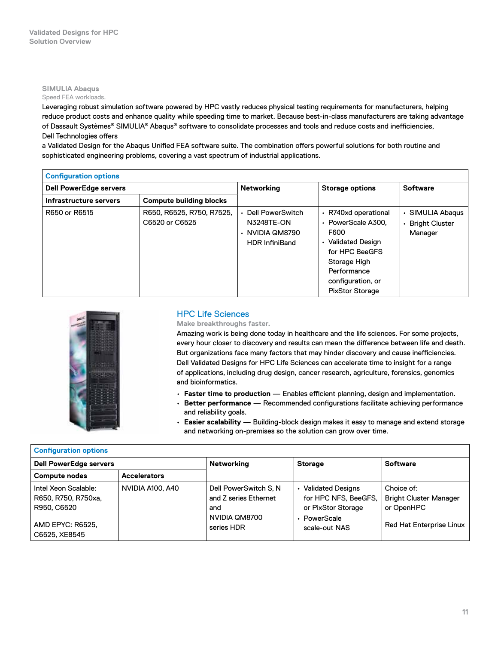# <span id="page-10-0"></span>**SIMULIA Abaqus**

# Speed FEA workloads.

Leveraging robust simulation software powered by HPC vastly reduces physical testing requirements for manufacturers, helping reduce product costs and enhance quality while speeding time to market. Because best-in-class manufacturers are taking advantage of Dassault Systèmes® SIMULIA® Abaqus® software to consolidate processes and tools and reduce costs and inefficiencies, Dell Technologies offers

a Validated Design for the Abaqus Unified FEA software suite. The combination offers powerful solutions for both routine and sophisticated engineering problems, covering a vast spectrum of industrial applications.

| <b>Configuration options</b>  |                                             |                                                                                    |                                                                                                                                                                                    |                                                         |
|-------------------------------|---------------------------------------------|------------------------------------------------------------------------------------|------------------------------------------------------------------------------------------------------------------------------------------------------------------------------------|---------------------------------------------------------|
| <b>Dell PowerEdge servers</b> |                                             | <b>Networking</b>                                                                  | <b>Storage options</b>                                                                                                                                                             | <b>Software</b>                                         |
| Infrastructure servers        | <b>Compute building blocks</b>              |                                                                                    |                                                                                                                                                                                    |                                                         |
| R650 or R6515                 | R650, R6525, R750, R7525,<br>C6520 or C6525 | • Dell PowerSwitch<br>N3248TE-ON<br>$\cdot$ NVIDIA QM8790<br><b>HDR</b> InfiniBand | · R740xd operational<br>• PowerScale A300.<br>F600<br><b>Validated Design</b><br>۰<br>for HPC BeeGFS<br>Storage High<br>Performance<br>configuration, or<br><b>PixStor Storage</b> | SIMULIA Abagus<br>۰<br><b>Bright Cluster</b><br>Manager |



# HPC Life Sciences

**Make breakthroughs faster.**

Amazing work is being done today in healthcare and the life sciences. For some projects, every hour closer to discovery and results can mean the difference between life and death. But organizations face many factors that may hinder discovery and cause inefficiencies. Dell Validated Designs for HPC Life Sciences can accelerate time to insight for a range of applications, including drug design, cancer research, agriculture, forensics, genomics and bioinformatics.

- **Faster time to production** Enables efficient planning, design and implementation.
- **Better performance** Recommended configurations facilitate achieving performance and reliability goals.
- **Easier scalability** Building‑block design makes it easy to manage and extend storage and networking on-premises so the solution can grow over time.

| <b>Configuration options</b>                                                                    |                     |                                                                                      |                                                                                                       |                                                                                              |
|-------------------------------------------------------------------------------------------------|---------------------|--------------------------------------------------------------------------------------|-------------------------------------------------------------------------------------------------------|----------------------------------------------------------------------------------------------|
| <b>Dell PowerEdge servers</b>                                                                   |                     | <b>Networking</b>                                                                    | <b>Storage</b>                                                                                        | <b>Software</b>                                                                              |
| <b>Compute nodes</b>                                                                            | <b>Accelerators</b> |                                                                                      |                                                                                                       |                                                                                              |
| Intel Xeon Scalable:<br>R650, R750, R750xa,<br>R950, C6520<br>AMD EPYC: R6525.<br>C6525, XE8545 | NVIDIA A100, A40    | Dell PowerSwitch S, N<br>and Z series Ethernet<br>and<br>NVIDIA QM8700<br>series HDR | <b>Validated Designs</b><br>for HPC NFS, BeeGFS,<br>or PixStor Storage<br>PowerScale<br>scale-out NAS | Choice of:<br><b>Bright Cluster Manager</b><br>or OpenHPC<br><b>Red Hat Enterprise Linux</b> |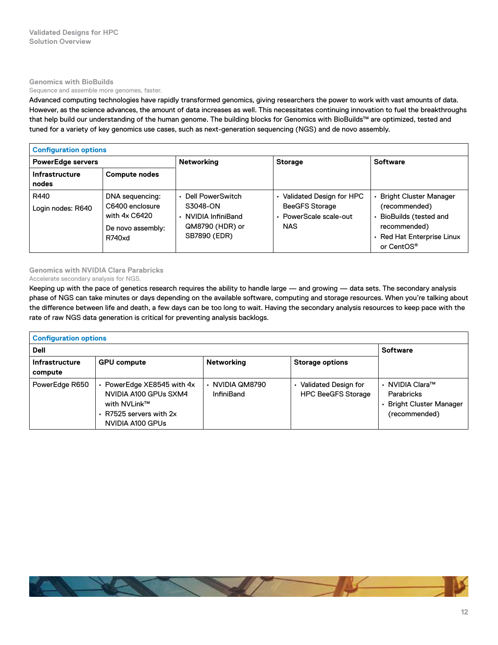## **Genomics with BioBuilds**

#### Sequence and assemble more genomes, faster.

Advanced computing technologies have rapidly transformed genomics, giving researchers the power to work with vast amounts of data. However, as the science advances, the amount of data increases as well. This necessitates continuing innovation to fuel the breakthroughs that help build our understanding of the human genome. The building blocks for Genomics with BioBuilds™ are optimized, tested and tuned for a variety of key genomics use cases, such as next‑generation sequencing (NGS) and de novo assembly.

| <b>Configuration options</b>   |                                                                                    |                                                                                        |                                                                                           |                                                                                                                                                   |
|--------------------------------|------------------------------------------------------------------------------------|----------------------------------------------------------------------------------------|-------------------------------------------------------------------------------------------|---------------------------------------------------------------------------------------------------------------------------------------------------|
| <b>PowerEdge servers</b>       |                                                                                    | <b>Networking</b>                                                                      | <b>Storage</b>                                                                            | <b>Software</b>                                                                                                                                   |
| <b>Infrastructure</b><br>nodes | <b>Compute nodes</b>                                                               |                                                                                        |                                                                                           |                                                                                                                                                   |
| R440<br>Login nodes: R640      | DNA sequencing:<br>C6400 enclosure<br>with 4x C6420<br>De novo assembly:<br>R740xd | Dell PowerSwitch<br>S3048-ON<br>• NVIDIA InfiniBand<br>QM8790 (HDR) or<br>SB7890 (EDR) | Validated Design for HPC<br><b>BeeGFS Storage</b><br>• PowerScale scale-out<br><b>NAS</b> | <b>Bright Cluster Manager</b><br>(recommended)<br>• BioBuilds (tested and<br>recommended)<br>· Red Hat Enterprise Linux<br>or CentOS <sup>®</sup> |

# **Genomics with NVIDIA Clara Parabricks**

## Accelerate secondary analysis for NGS.

Keeping up with the pace of genetics research requires the ability to handle large — and growing — data sets. The secondary analysis phase of NGS can take minutes or days depending on the available software, computing and storage resources. When you're talking about the difference between life and death, a few days can be too long to wait. Having the secondary analysis resources to keep pace with the rate of raw NGS data generation is critical for preventing analysis backlogs.

| <b>Configuration options</b>     |                                                                                                                          |                                      |                                                          |                                                                                        |
|----------------------------------|--------------------------------------------------------------------------------------------------------------------------|--------------------------------------|----------------------------------------------------------|----------------------------------------------------------------------------------------|
| <b>Dell</b>                      | <b>Software</b>                                                                                                          |                                      |                                                          |                                                                                        |
| <b>Infrastructure</b><br>compute | <b>GPU compute</b>                                                                                                       | <b>Networking</b>                    | <b>Storage options</b>                                   |                                                                                        |
| PowerEdge R650                   | • PowerEdge XE8545 with 4x<br>NVIDIA A100 GPUs SXM4<br>with NVLink™<br>$\cdot$ R7525 servers with 2x<br>NVIDIA A100 GPUS | ⋅ NVIDIA QM8790<br><b>InfiniBand</b> | <b>Validated Design for</b><br><b>HPC BeeGFS Storage</b> | • NVIDIA Clara™<br><b>Parabricks</b><br><b>Bright Cluster Manager</b><br>(recommended) |

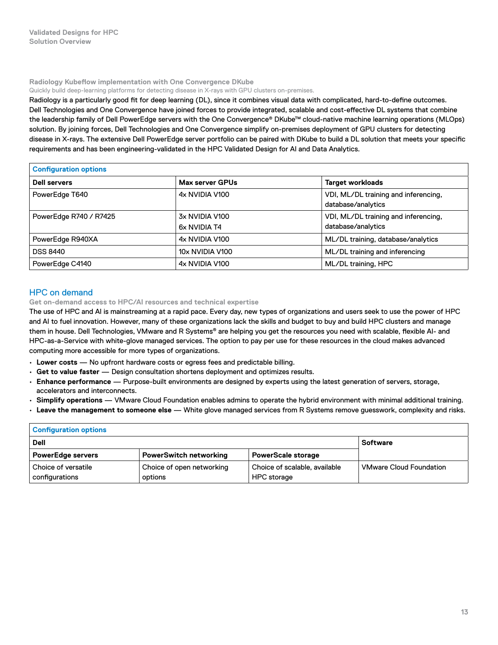#### <span id="page-12-0"></span>**Radiology Kubeflow implementation with One Convergence DKube**

Quickly build deep-learning platforms for detecting disease in X-rays with GPU clusters on-premises.

Radiology is a particularly good fit for deep learning (DL), since it combines visual data with complicated, hard-to-define outcomes. Dell Technologies and One Convergence have joined forces to provide integrated, scalable and cost-effective DL systems that combine the leadership family of Dell PowerEdge servers with the One Convergence® DKube™ cloud‑native machine learning operations (MLOps) solution. By joining forces, Dell Technologies and One Convergence simplify on-premises deployment of GPU clusters for detecting disease in X‑rays. The extensive Dell PowerEdge server portfolio can be paired with DKube to build a DL solution that meets your specific requirements and has been engineering‑validated in the HPC Validated Design for AI and Data Analytics.

| <b>Configuration options</b> |                                |                                                            |  |  |
|------------------------------|--------------------------------|------------------------------------------------------------|--|--|
| <b>Dell servers</b>          | Max server GPUs                | <b>Target workloads</b>                                    |  |  |
| PowerEdge T640               | 4x NVIDIA V100                 | VDI, ML/DL training and inferencing,<br>database/analytics |  |  |
| PowerEdge R740 / R7425       | 3x NVIDIA V100<br>6x NVIDIA T4 | VDI, ML/DL training and inferencing,<br>database/analytics |  |  |
| PowerEdge R940XA             | 4x NVIDIA V100                 | ML/DL training, database/analytics                         |  |  |
| <b>DSS 8440</b>              | 10x NVIDIA V100                | ML/DL training and inferencing                             |  |  |
| PowerEdge C4140              | 4x NVIDIA V100                 | ML/DL training, HPC                                        |  |  |

# HPC on demand

**Get on‑demand access to HPC/AI resources and technical expertise**

The use of HPC and AI is mainstreaming at a rapid pace. Every day, new types of organizations and users seek to use the power of HPC and AI to fuel innovation. However, many of these organizations lack the skills and budget to buy and build HPC clusters and manage them in house. Dell Technologies, VMware and R Systems® are helping you get the resources you need with scalable, flexible AI- and HPC-as-a-Service with white-glove managed services. The option to pay per use for these resources in the cloud makes advanced computing more accessible for more types of organizations.

- **Lower costs** No upfront hardware costs or egress fees and predictable billing.
- **Get to value faster** Design consultation shortens deployment and optimizes results.
- **Enhance performance** Purpose‑built environments are designed by experts using the latest generation of servers, storage, accelerators and interconnects.
- **Simplify operations** VMware Cloud Foundation enables admins to operate the hybrid environment with minimal additional training.
- **Leave the management to someone else** White glove managed services from R Systems remove guesswork, complexity and risks.

| <b>Configuration options</b> |                               |                               |                                |  |
|------------------------------|-------------------------------|-------------------------------|--------------------------------|--|
| Dell                         |                               |                               | <b>Software</b>                |  |
| <b>PowerEdge servers</b>     | <b>PowerSwitch networking</b> | <b>PowerScale storage</b>     |                                |  |
| Choice of versatile          | Choice of open networking     | Choice of scalable, available | <b>VMware Cloud Foundation</b> |  |
| configurations               | options                       | <b>HPC</b> storage            |                                |  |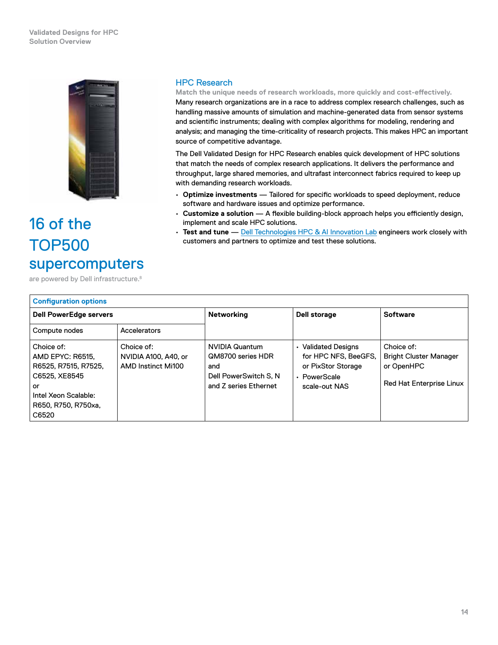## <span id="page-13-0"></span>**Validated Designs for HPC Solution Overview**



# 16 of the TOP500 supercomputers

are powered by Dell infrastructure.<sup>8</sup>

# HPC Research

**Match the unique needs of research workloads, more quickly and cost‑effectively.** Many research organizations are in a race to address complex research challenges, such as handling massive amounts of simulation and machine-generated data from sensor systems and scientific instruments; dealing with complex algorithms for modeling, rendering and analysis; and managing the time‑criticality of research projects. This makes HPC an important source of competitive advantage.

The Dell Validated Design for HPC Research enables quick development of HPC solutions that match the needs of complex research applications. It delivers the performance and throughput, large shared memories, and ultrafast interconnect fabrics required to keep up with demanding research workloads.

- **Optimize investments** Tailored for specific workloads to speed deployment, reduce software and hardware issues and optimize performance.
- **Customize a solution** A flexible building‑block approach helps you efficiently design, implement and scale HPC solutions.
- **Test and tune** — [Dell Technologies HPC & AI Innovation Lab](https://delltechnologies.com/innovationlab) engineers work closely with customers and partners to optimize and test these solutions.

| <b>Configuration options</b>                                                                                                          |                                                          |                                                                                                      |                                                                                                       |                                                                                       |
|---------------------------------------------------------------------------------------------------------------------------------------|----------------------------------------------------------|------------------------------------------------------------------------------------------------------|-------------------------------------------------------------------------------------------------------|---------------------------------------------------------------------------------------|
| <b>Dell PowerEdge servers</b>                                                                                                         |                                                          | Networking                                                                                           | Dell storage                                                                                          | <b>Software</b>                                                                       |
| Compute nodes                                                                                                                         | Accelerators                                             |                                                                                                      |                                                                                                       |                                                                                       |
| Choice of:<br>AMD EPYC: R6515.<br>R6525, R7515, R7525,<br>C6525, XE8545<br>or<br>Intel Xeon Scalable:<br>R650, R750, R750xa.<br>C6520 | Choice of:<br>NVIDIA A100, A40, or<br>AMD Instinct Mi100 | <b>NVIDIA Quantum</b><br>QM8700 series HDR<br>and<br>Dell PowerSwitch S. N.<br>and Z series Ethernet | <b>Validated Designs</b><br>for HPC NFS. BeeGFS.<br>or PixStor Storage<br>PowerScale<br>scale-out NAS | Choice of:<br><b>Bright Cluster Manager</b><br>or OpenHPC<br>Red Hat Enterprise Linux |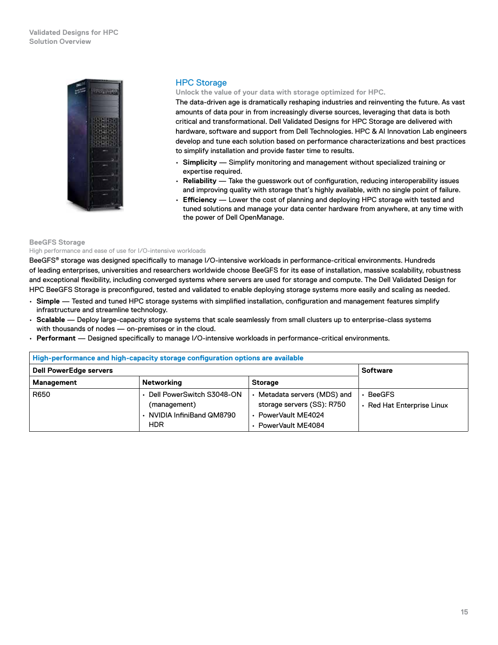<span id="page-14-0"></span>

# HPC Storage

**Unlock the value of your data with storage optimized for HPC.**

The data‑driven age is dramatically reshaping industries and reinventing the future. As vast amounts of data pour in from increasingly diverse sources, leveraging that data is both critical and transformational. Dell Validated Designs for HPC Storage are delivered with hardware, software and support from Dell Technologies. HPC & AI Innovation Lab engineers develop and tune each solution based on performance characterizations and best practices to simplify installation and provide faster time to results.

- **Simplicity** Simplify monitoring and management without specialized training or expertise required.
- **Reliability** Take the guesswork out of configuration, reducing interoperability issues and improving quality with storage that's highly available, with no single point of failure.
- **Efficiency** Lower the cost of planning and deploying HPC storage with tested and tuned solutions and manage your data center hardware from anywhere, at any time with the power of Dell OpenManage.

#### **BeeGFS Storage**

High performance and ease of use for I/O-intensive workloads

BeeGFS® storage was designed specifically to manage I/O-intensive workloads in performance-critical environments. Hundreds of leading enterprises, universities and researchers worldwide choose BeeGFS for its ease of installation, massive scalability, robustness and exceptional flexibility, including converged systems where servers are used for storage and compute. The Dell Validated Design for HPC BeeGFS Storage is preconfigured, tested and validated to enable deploying storage systems more easily and scaling as needed.

- **Simple** Tested and tuned HPC storage systems with simplified installation, configuration and management features simplify infrastructure and streamline technology.
- **Scalable** Deploy large‑capacity storage systems that scale seamlessly from small clusters up to enterprise‑class systems with thousands of nodes — on-premises or in the cloud.
- **Performant** Designed specifically to manage I/O‑intensive workloads in performance‑critical environments.

| High-performance and high-capacity storage configuration options are available |                                                                                       |                                                                                                          |                                           |  |
|--------------------------------------------------------------------------------|---------------------------------------------------------------------------------------|----------------------------------------------------------------------------------------------------------|-------------------------------------------|--|
| <b>Dell PowerEdge servers</b>                                                  | <b>Software</b>                                                                       |                                                                                                          |                                           |  |
| Management                                                                     | Networking                                                                            | <b>Storage</b>                                                                                           |                                           |  |
| R650                                                                           | Dell PowerSwitch S3048-ON<br>(management)<br>• NVIDIA InfiniBand QM8790<br><b>HDR</b> | • Metadata servers (MDS) and<br>storage servers (SS): R750<br>• PowerVault ME4024<br>· PowerVault ME4084 | <b>BeeGFS</b><br>Red Hat Enterprise Linux |  |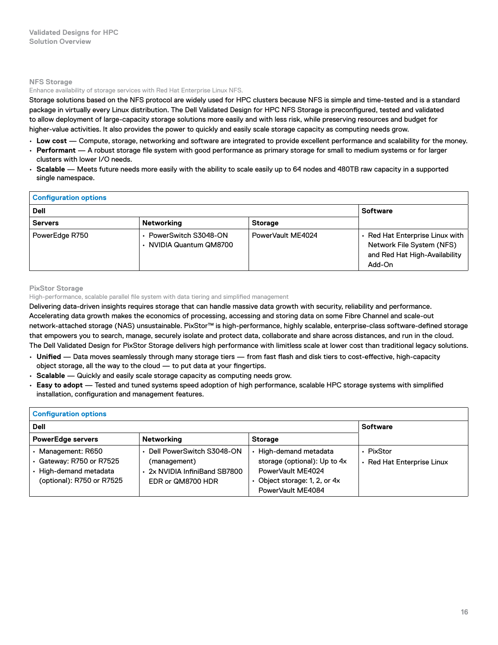## **NFS Storage**

#### Enhance availability of storage services with Red Hat Enterprise Linux NFS.

Storage solutions based on the NFS protocol are widely used for HPC clusters because NFS is simple and time-tested and is a standard package in virtually every Linux distribution. The Dell Validated Design for HPC NFS Storage is preconfigured, tested and validated to allow deployment of large‑capacity storage solutions more easily and with less risk, while preserving resources and budget for higher-value activities. It also provides the power to quickly and easily scale storage capacity as computing needs grow.

- **Low cost** Compute, storage, networking and software are integrated to provide excellent performance and scalability for the money.
- **Performant** A robust storage file system with good performance as primary storage for small to medium systems or for larger clusters with lower I/O needs.
- **Scalable** Meets future needs more easily with the ability to scale easily up to 64 nodes and 480TB raw capacity in a supported single namespace.

#### **Configuration options Dell Software Servers Networking Networking Storage** PowerEdge R750 **• PowerSwitch S3048-ON** • NVIDIA Quantum QM8700 PowerVault ME4024 **• Red Hat Enterprise Linux with** Network File System (NFS) and Red Hat High‑Availability Add‑On

#### **PixStor Storage**

High-performance, scalable parallel file system with data tiering and simplified management

Delivering data‑driven insights requires storage that can handle massive data growth with security, reliability and performance. Accelerating data growth makes the economics of processing, accessing and storing data on some Fibre Channel and scale‑out network-attached storage (NAS) unsustainable. PixStor™ is high-performance, highly scalable, enterprise-class software-defined storage that empowers you to search, manage, securely isolate and protect data, collaborate and share across distances, and run in the cloud. The Dell Validated Design for PixStor Storage delivers high performance with limitless scale at lower cost than traditional legacy solutions.

- **Unified** Data moves seamlessly through many storage tiers from fast flash and disk tiers to cost‑effective, high‑capacity object storage, all the way to the cloud — to put data at your fingertips.
- **Scalable** Quickly and easily scale storage capacity as computing needs grow.
- **Easy to adopt** Tested and tuned systems speed adoption of high performance, scalable HPC storage systems with simplified installation, configuration and management features.

| <b>Configuration options</b>                                                                          |                                                                                               |                                                                                                                               |                                         |  |
|-------------------------------------------------------------------------------------------------------|-----------------------------------------------------------------------------------------------|-------------------------------------------------------------------------------------------------------------------------------|-----------------------------------------|--|
| <b>Dell</b>                                                                                           |                                                                                               |                                                                                                                               | <b>Software</b>                         |  |
| <b>PowerEdge servers</b>                                                                              | Networking                                                                                    | <b>Storage</b>                                                                                                                |                                         |  |
| • Management: R650<br>· Gateway: R750 or R7525<br>• High-demand metadata<br>(optional): R750 or R7525 | Dell PowerSwitch S3048-ON<br>(management)<br>2x NVIDIA InfiniBand SB7800<br>EDR or QM8700 HDR | High-demand metadata<br>storage (optional): Up to 4x<br>PowerVault ME4024<br>Object storage: 1, 2, or 4x<br>PowerVault ME4084 | • PixStor<br>• Red Hat Enterprise Linux |  |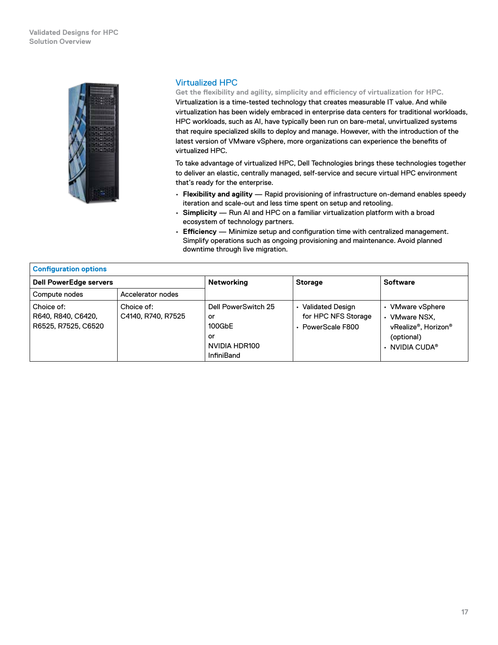## <span id="page-16-0"></span>**Validated Designs for HPC Solution Overview**



# Virtualized HPC

**Get the flexibility and agility, simplicity and efficiency of virtualization for HPC.** Virtualization is a time‑tested technology that creates measurable IT value. And while virtualization has been widely embraced in enterprise data centers for traditional workloads, HPC workloads, such as AI, have typically been run on bare-metal, unvirtualized systems that require specialized skills to deploy and manage. However, with the introduction of the latest version of VMware vSphere, more organizations can experience the benefits of virtualized HPC.

To take advantage of virtualized HPC, Dell Technologies brings these technologies together to deliver an elastic, centrally managed, self‑service and secure virtual HPC environment that's ready for the enterprise.

- **Flexibility and agility** Rapid provisioning of infrastructure on‑demand enables speedy iteration and scale-out and less time spent on setup and retooling.
- **Simplicity** Run AI and HPC on a familiar virtualization platform with a broad ecosystem of technology partners.
- **Efficiency** Minimize setup and configuration time with centralized management. Simplify operations such as ongoing provisioning and maintenance. Avoid planned downtime through live migration.

| <b>Configuration options</b>                            |                                  |                                                                                 |                                                            |                                                                                                   |
|---------------------------------------------------------|----------------------------------|---------------------------------------------------------------------------------|------------------------------------------------------------|---------------------------------------------------------------------------------------------------|
| <b>Dell PowerEdge servers</b>                           |                                  | Networking                                                                      | <b>Storage</b>                                             | <b>Software</b>                                                                                   |
| Compute nodes                                           | Accelerator nodes                |                                                                                 |                                                            |                                                                                                   |
| Choice of:<br>R640, R840, C6420,<br>R6525, R7525, C6520 | Choice of:<br>C4140, R740, R7525 | Dell PowerSwitch 25<br>or<br>100GbE<br>or<br>NVIDIA HDR100<br><b>InfiniBand</b> | Validated Design<br>for HPC NFS Storage<br>PowerScale F800 | VMware vSphere<br><b>VMware NSX.</b><br>vRealize®. Horizon®<br>(optional)<br>$\cdot$ NVIDIA CUDA® |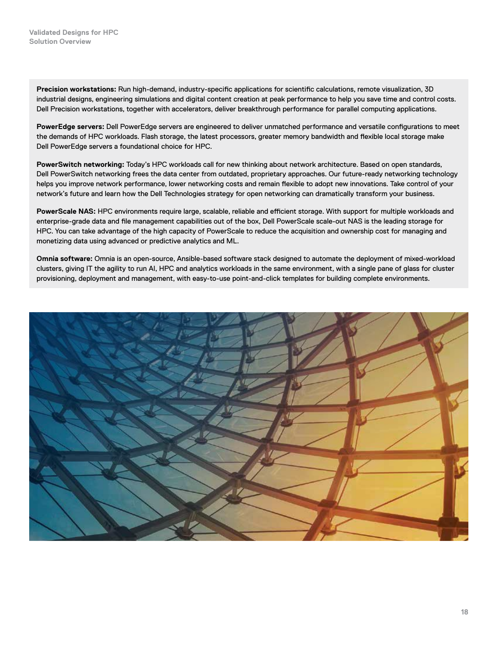**Precision workstations:** Run high‑demand, industry‑specific applications for scientific calculations, remote visualization, 3D industrial designs, engineering simulations and digital content creation at peak performance to help you save time and control costs. Dell Precision workstations, together with accelerators, deliver breakthrough performance for parallel computing applications.

**PowerEdge servers:** Dell PowerEdge servers are engineered to deliver unmatched performance and versatile configurations to meet the demands of HPC workloads. Flash storage, the latest processors, greater memory bandwidth and flexible local storage make Dell PowerEdge servers a foundational choice for HPC.

**PowerSwitch networking:** Today's HPC workloads call for new thinking about network architecture. Based on open standards, Dell PowerSwitch networking frees the data center from outdated, proprietary approaches. Our future‑ready networking technology helps you improve network performance, lower networking costs and remain flexible to adopt new innovations. Take control of your network's future and learn how the Dell Technologies strategy for open networking can dramatically transform your business.

**PowerScale NAS:** HPC environments require large, scalable, reliable and efficient storage. With support for multiple workloads and enterprise-grade data and file management capabilities out of the box, Dell PowerScale scale-out NAS is the leading storage for HPC. You can take advantage of the high capacity of PowerScale to reduce the acquisition and ownership cost for managing and monetizing data using advanced or predictive analytics and ML.

**Omnia software:** Omnia is an open‑source, Ansible‑based software stack designed to automate the deployment of mixed‑workload clusters, giving IT the agility to run AI, HPC and analytics workloads in the same environment, with a single pane of glass for cluster provisioning, deployment and management, with easy-to-use point-and-click templates for building complete environments.

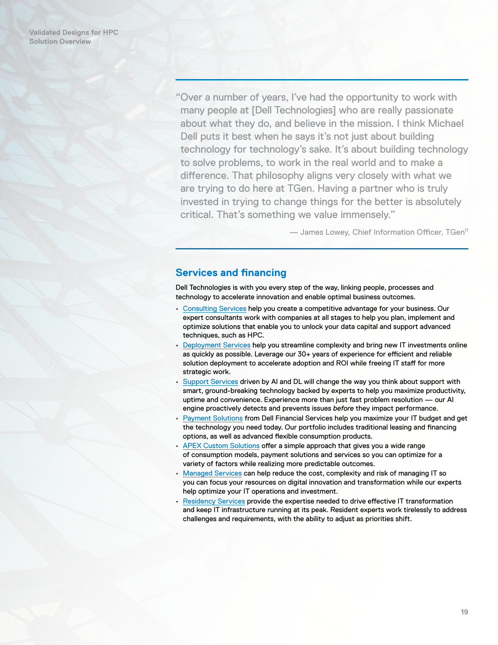<span id="page-18-0"></span>"Over a number of years, I've had the opportunity to work with many people at [Dell Technologies] who are really passionate about what they do, and believe in the mission. I think Michael Dell puts it best when he says it's not just about building technology for technology's sake. It's about building technology to solve problems, to work in the real world and to make a difference. That philosophy aligns very closely with what we are trying to do here at TGen. Having a partner who is truly invested in trying to change things for the better is absolutely critical. That's something we value immensely."

— James Lowey, Chief Information Officer, TGen11

# **Services and financing**

Dell Technologies is with you every step of the way, linking people, processes and technology to accelerate innovation and enable optimal business outcomes.

- [Consulting Services](https://www.delltechnologies.com/en-us/services/consulting-services/big-data.htm) help you create a competitive advantage for your business. Our expert consultants work with companies at all stages to help you plan, implement and optimize solutions that enable you to unlock your data capital and support advanced techniques, such as HPC.
- [Deployment Services](https://www.delltechnologies.com/en-us/services/deployment-services/index.htm#scroll=off) help you streamline complexity and bring new IT investments online as quickly as possible. Leverage our 30+ years of experience for efficient and reliable solution deployment to accelerate adoption and ROI while freeing IT staff for more strategic work.
- [Support Services](https://www.delltechnologies.com/en-us/services/support-services/index.htm) driven by AI and DL will change the way you think about support with smart, ground-breaking technology backed by experts to help you maximize productivity, uptime and convenience. Experience more than just fast problem resolution — our AI engine proactively detects and prevents issues *before* they impact performance.
- [Payment Solutions](https://www.delltechnologies.com/en-us/payment-solutions/index.htm#scroll=off) from Dell Financial Services help you maximize your IT budget and get the technology you need today. Our portfolio includes traditional leasing and financing options, as well as advanced flexible consumption products.
- [APEX Custom Solutions](https://www.delltechnologies.com/en-us/payment-solutions/flexible-consumption/flex-on-demand.htm#scroll=off) offer a simple approach that gives you a wide range of consumption models, payment solutions and services so you can optimize for a variety of factors while realizing more predictable outcomes.
- [Managed Services](https://www.delltechnologies.com/en-us/services/managed-services/index.htm) can help reduce the cost, complexity and risk of managing IT so you can focus your resources on digital innovation and transformation while our experts help optimize your IT operations and investment.
- [Residency Services](https://www.delltechnologies.com/en-us/services/deployment-services/residency-services.htm#scroll=off) provide the expertise needed to drive effective IT transformation and keep IT infrastructure running at its peak. Resident experts work tirelessly to address challenges and requirements, with the ability to adjust as priorities shift.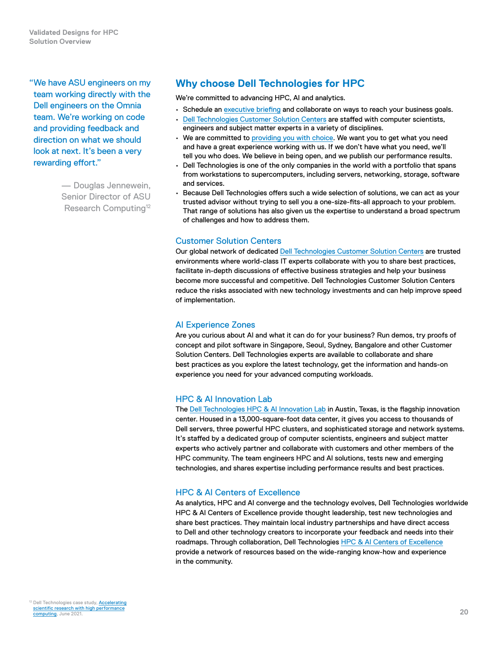<span id="page-19-0"></span>**Validated Designs for HPC Solution Overview**

"We have ASU engineers on my team working directly with the Dell engineers on the Omnia team. We're working on code and providing feedback and direction on what we should look at next. It's been a very rewarding effort."

> — Douglas Jennewein, Senior Director of ASU Research Computing<sup>12</sup>

# **Why choose Dell Technologies for HPC**

We're committed to advancing HPC, AI and analytics.

- Schedule an [executive briefing](https://www.delltechnologies.com/en-us/what-we-do/customer-engagement-programs/executive_briefing_program.htm) and collaborate on ways to reach your business goals.
- [Dell Technologies Customer Solution Centers](https://dell.com/csc) are staffed with computer scientists, engineers and subject matter experts in a variety of disciplines.
- We are committed to [providing you with choice.](https://www.delltechnologies.com/en-us/press/open-letter-to-customers-and-partners.htm) We want you to get what you need and have a great experience working with us. If we don't have what you need, we'll tell you who does. We believe in being open, and we publish our performance results.
- Dell Technologies is one of the only companies in the world with a portfolio that spans from workstations to supercomputers, including servers, networking, storage, software and services.
- Because Dell Technologies offers such a wide selection of solutions, we can act as your trusted advisor without trying to sell you a one-size-fits-all approach to your problem. That range of solutions has also given us the expertise to understand a broad spectrum of challenges and how to address them.

# Customer Solution Centers

Our global network of dedicated [Dell Technologies Customer Solution Centers](https://dell.com/csc) are trusted environments where world‑class IT experts collaborate with you to share best practices, facilitate in-depth discussions of effective business strategies and help your business become more successful and competitive. Dell Technologies Customer Solution Centers reduce the risks associated with new technology investments and can help improve speed of implementation.

# AI Experience Zones

Are you curious about AI and what it can do for your business? Run demos, try proofs of concept and pilot software in Singapore, Seoul, Sydney, Bangalore and other Customer Solution Centers. Dell Technologies experts are available to collaborate and share best practices as you explore the latest technology, get the information and hands‑on experience you need for your advanced computing workloads.

# HPC & AI Innovation Lab

The [Dell Technologies HPC & AI Innovation Lab](https://delltechnologies.com/innovationlab) in Austin, Texas, is the flagship innovation center. Housed in a 13,000‑square‑foot data center, it gives you access to thousands of Dell servers, three powerful HPC clusters, and sophisticated storage and network systems. It's staffed by a dedicated group of computer scientists, engineers and subject matter experts who actively partner and collaborate with customers and other members of the HPC community. The team engineers HPC and AI solutions, tests new and emerging technologies, and shares expertise including performance results and best practices.

# HPC & AI Centers of Excellence

As analytics, HPC and AI converge and the technology evolves, Dell Technologies worldwide [HPC & AI Centers of Excellence](https://delltechnologies.com/coe) provide thought leadership, test new technologies and share best practices. They maintain local industry partnerships and have direct access to Dell and other technology creators to incorporate your feedback and needs into their roadmaps. Through collaboration, Dell Technologies **HPC & AI Centers of Excellence** provide a network of resources based on the wide‑ranging know‑how and experience in the community.